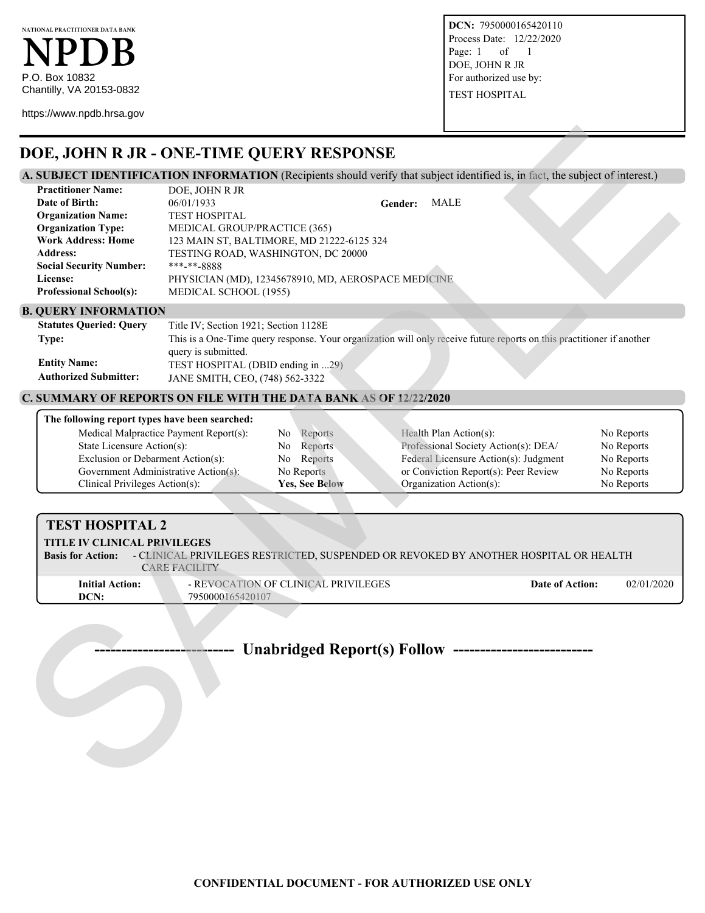**NATIONAL PRACTITIONER DATA BANK NPDB** P.O. Box 10832 Chantilly, VA 20153-0832

https://www.npdb.hrsa.gov

**DCN:** 7950000165420110 Process Date: 12/22/2020 Page: 1 of 1 DOE, JOHN R JR For authorized use by: TEST HOSPITAL

## **DOE, JOHN R JR - ONE-TIME QUERY RESPONSE**

## **A. SUBJECT IDENTIFICATION INFORMATION** (Recipients should verify that subject identified is, in fact, the subject of interest.)

| DOE, JOHN R JR - ONE-TIME QUERY RESPONSE                                                                                                                                                    |                                                                                                                                           |                                                                                 |                                                   |                                                                                                                       |                                                                    |
|---------------------------------------------------------------------------------------------------------------------------------------------------------------------------------------------|-------------------------------------------------------------------------------------------------------------------------------------------|---------------------------------------------------------------------------------|---------------------------------------------------|-----------------------------------------------------------------------------------------------------------------------|--------------------------------------------------------------------|
| A. SUBJECT IDENTIFICATION INFORMATION (Recipients should verify that subject identified is, in fact, the subject of interest.)                                                              |                                                                                                                                           |                                                                                 |                                                   |                                                                                                                       |                                                                    |
| <b>Practitioner Name:</b><br>Date of Birth:<br><b>Organization Name:</b><br><b>Organization Type:</b><br><b>Work Address: Home</b><br><b>Address:</b><br><b>Social Security Number:</b>     | DOE, JOHN R JR<br>06/01/1933<br><b>TEST HOSPITAL</b><br>MEDICAL GROUP/PRACTICE (365)<br>TESTING ROAD, WASHINGTON, DC 20000<br>***-**-8888 | 123 MAIN ST, BALTIMORE, MD 21222-6125 324                                       | <b>MALE</b><br>Gender:                            |                                                                                                                       |                                                                    |
| License:<br><b>Professional School(s):</b>                                                                                                                                                  | PHYSICIAN (MD), 12345678910, MD, AEROSPACE MEDICINE<br>MEDICAL SCHOOL (1955)                                                              |                                                                                 |                                                   |                                                                                                                       |                                                                    |
| <b>B. QUERY INFORMATION</b>                                                                                                                                                                 |                                                                                                                                           |                                                                                 |                                                   |                                                                                                                       |                                                                    |
| <b>Statutes Queried: Query</b><br>Type:<br><b>Entity Name:</b><br><b>Authorized Submitter:</b>                                                                                              | Title IV; Section 1921; Section 1128E<br>query is submitted.<br>TEST HOSPITAL (DBID ending in 29)<br>JANE SMITH, CEO, (748) 562-3322      |                                                                                 |                                                   | This is a One-Time query response. Your organization will only receive future reports on this practitioner if another |                                                                    |
|                                                                                                                                                                                             |                                                                                                                                           |                                                                                 |                                                   |                                                                                                                       |                                                                    |
| <b>C. SUMMARY OF REPORTS ON FILE WITH THE DATA BANK AS OF 12/22/2020</b>                                                                                                                    |                                                                                                                                           |                                                                                 |                                                   |                                                                                                                       |                                                                    |
| The following report types have been searched:<br>State Licensure Action(s):<br>Exclusion or Debarment Action(s):<br>Government Administrative Action(s):<br>Clinical Privileges Action(s): | Medical Malpractice Payment Report(s):                                                                                                    | Reports<br>No<br>Reports<br>No<br>Reports<br>No<br>No Reports<br>Yes, See Below | Health Plan Action(s):<br>Organization Action(s): | Professional Society Action(s): DEA/<br>Federal Licensure Action(s): Judgment<br>or Conviction Report(s): Peer Review | No Reports<br>No Reports<br>No Reports<br>No Reports<br>No Reports |
|                                                                                                                                                                                             |                                                                                                                                           |                                                                                 |                                                   |                                                                                                                       |                                                                    |
| <b>TEST HOSPITAL 2</b><br>TITLE IV CLINICAL PRIVILEGES<br><b>Basis for Action:</b>                                                                                                          | <b>CARE FACILITY</b>                                                                                                                      |                                                                                 |                                                   | - CLINICAL PRIVILEGES RESTRICTED, SUSPENDED OR REVOKED BY ANOTHER HOSPITAL OR HEALTH                                  |                                                                    |
| <b>Initial Action:</b><br>DCN:                                                                                                                                                              | 7950000165420107                                                                                                                          | - REVOCATION OF CLINICAL PRIVILEGES                                             |                                                   | Date of Action:                                                                                                       | 02/01/2020                                                         |
|                                                                                                                                                                                             |                                                                                                                                           | Unabridged Report(s) Follow -----------------                                   |                                                   |                                                                                                                       |                                                                    |

#### **B. QUERY INFORMATION**

| <b>Statutes Queried: Query</b> | Title IV; Section 1921; Section 1128E                                                                                 |
|--------------------------------|-----------------------------------------------------------------------------------------------------------------------|
| Type:                          | This is a One-Time query response. Your organization will only receive future reports on this practitioner if another |
|                                | query is submitted.                                                                                                   |
| <b>Entity Name:</b>            | TEST HOSPITAL (DBID ending in 29)                                                                                     |
| <b>Authorized Submitter:</b>   | JANE SMITH, CEO, (748) 562-3322                                                                                       |

### **C. SUMMARY OF REPORTS ON FILE WITH THE DATA BANK AS OF 12/22/2020**

| The following report types have been searched: |                       |                                       |            |
|------------------------------------------------|-----------------------|---------------------------------------|------------|
| Medical Malpractice Payment Report(s):         | Reports<br>No         | Health Plan Action(s):                | No Reports |
| State Licensure Action(s):                     | Reports<br>No.        | Professional Society Action(s): DEA/  | No Reports |
| Exclusion or Debarment Action(s):              | No Reports            | Federal Licensure Action(s): Judgment | No Reports |
| Government Administrative Action(s):           | No Reports            | or Conviction Report(s): Peer Review  | No Reports |
| Clinical Privileges Action(s):                 | <b>Yes, See Below</b> | Organization Action(s):               | No Reports |

#### **TEST HOSPITAL 2 TITLE IV CLINICAL PRIVILEGES Basis for Action:** - CLINICAL PRIVILEGES RESTRICTED, SUSPENDED OR REVOKED BY ANOTHER HOSPITAL OR HEALTH CARE FACILITY **Initial Action: Date of Action: Date of Action:** 02/01/2020 **Date of Action:** 02/01/2020 **DCN:** 7950000165420107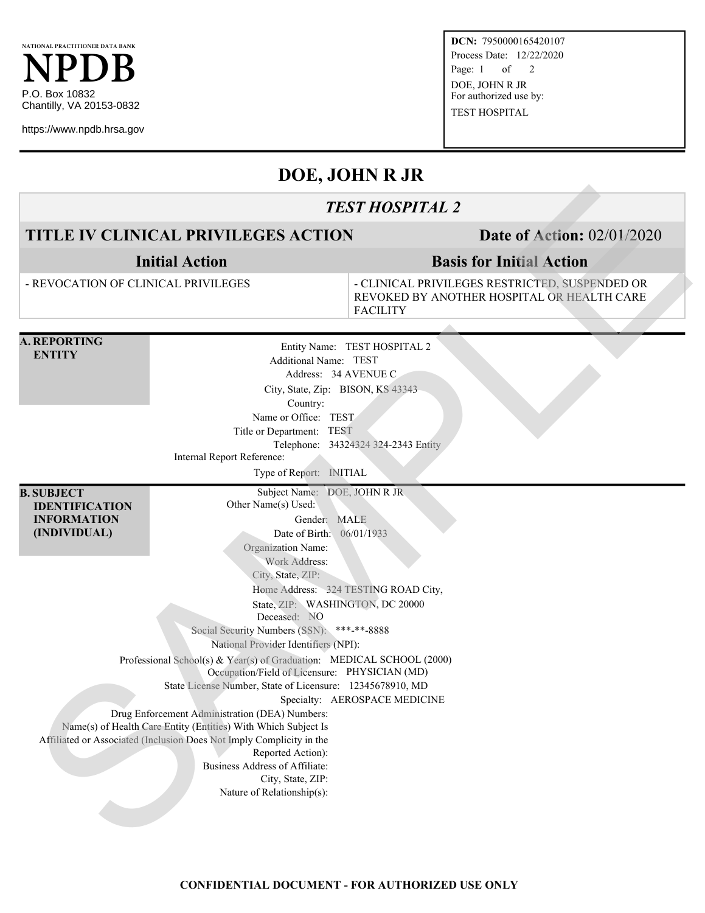https://www.npdb.hrsa.gov

**DCN:** 7950000165420107 Process Date: 12/22/2020 Page: 1 of 2 DOE, JOHN R JR For authorized use by: TEST HOSPITAL

# **DOE, JOHN R JR**

## *TEST HOSPITAL 2*

# **TITLE IV CLINICAL PRIVILEGES ACTION Date of Action:** 02/01/2020

## **Basis for Initial Action**

|                                                                                  |                                                                                                                                                                                                                                                                                                                                                                                                                                                                                                                                                                                                                                                                                                                                                                                                                                                                              | <b>TEST HOSPITAL 2</b>                                                                                          |  |
|----------------------------------------------------------------------------------|------------------------------------------------------------------------------------------------------------------------------------------------------------------------------------------------------------------------------------------------------------------------------------------------------------------------------------------------------------------------------------------------------------------------------------------------------------------------------------------------------------------------------------------------------------------------------------------------------------------------------------------------------------------------------------------------------------------------------------------------------------------------------------------------------------------------------------------------------------------------------|-----------------------------------------------------------------------------------------------------------------|--|
|                                                                                  | TITLE IV CLINICAL PRIVILEGES ACTION                                                                                                                                                                                                                                                                                                                                                                                                                                                                                                                                                                                                                                                                                                                                                                                                                                          | <b>Date of Action: 02/01/2020</b>                                                                               |  |
|                                                                                  | <b>Initial Action</b>                                                                                                                                                                                                                                                                                                                                                                                                                                                                                                                                                                                                                                                                                                                                                                                                                                                        | <b>Basis for Initial Action</b>                                                                                 |  |
| - REVOCATION OF CLINICAL PRIVILEGES                                              |                                                                                                                                                                                                                                                                                                                                                                                                                                                                                                                                                                                                                                                                                                                                                                                                                                                                              | - CLINICAL PRIVILEGES RESTRICTED, SUSPENDED OR<br>REVOKED BY ANOTHER HOSPITAL OR HEALTH CARE<br><b>FACILITY</b> |  |
| <b>A. REPORTING</b><br><b>ENTITY</b>                                             | Additional Name: TEST<br>Address: 34 AVENUE C<br>City, State, Zip: BISON, KS 43343<br>Country:<br>Name or Office: TEST<br>Title or Department: TEST<br>Internal Report Reference:<br>Type of Report: INITIAL                                                                                                                                                                                                                                                                                                                                                                                                                                                                                                                                                                                                                                                                 | Entity Name: TEST HOSPITAL 2<br>Telephone: 34324324 324-2343 Entity                                             |  |
| <b>B. SUBJECT</b><br><b>IDENTIFICATION</b><br><b>INFORMATION</b><br>(INDIVIDUAL) | Subject Name: DOE, JOHN R JR<br>Other Name(s) Used:<br>Gender: MALE<br>Date of Birth: 06/01/1933<br>Organization Name:<br>Work Address:<br>City, State, ZIP:<br>Home Address: 324 TESTING ROAD City,<br>State, ZIP: WASHINGTON, DC 20000<br>Deceased: NO<br>Social Security Numbers (SSN): ***-**-8888<br>National Provider Identifiers (NPI):<br>Professional School(s) & Year(s) of Graduation: MEDICAL SCHOOL (2000)<br>Occupation/Field of Licensure: PHYSICIAN (MD)<br>State License Number, State of Licensure: 12345678910, MD<br>Specialty: AEROSPACE MEDICINE<br>Drug Enforcement Administration (DEA) Numbers:<br>Name(s) of Health Care Entity (Entities) With Which Subject Is<br>Affiliated or Associated (Inclusion Does Not Imply Complicity in the<br>Reported Action):<br>Business Address of Affiliate:<br>City, State, ZIP:<br>Nature of Relationship(s): |                                                                                                                 |  |